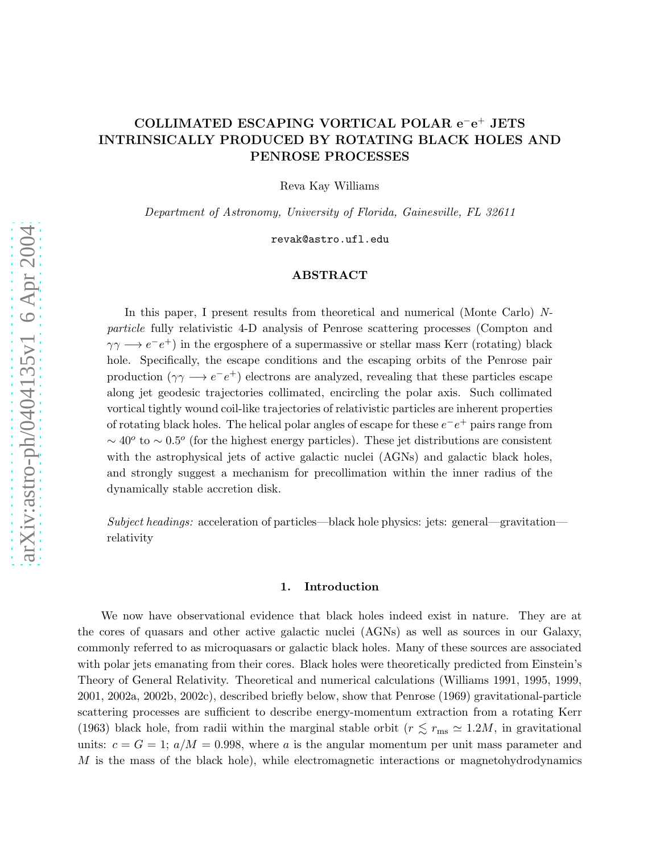# COLLIMATED ESCAPING VORTICAL POLAR e<sup>-</sup>e<sup>+</sup> JETS INTRINSICALLY PRODUCED BY ROTATING BLACK HOLES AND PENROSE PROCESSES

Reva Kay Williams

Department of Astronomy, University of Florida, Gainesville, FL 32611

revak@astro.ufl.edu

## ABSTRACT

In this paper, I present results from theoretical and numerical (Monte Carlo) Nparticle fully relativistic 4-D analysis of Penrose scattering processes (Compton and  $\gamma\gamma \longrightarrow e^-e^+$ ) in the ergosphere of a supermassive or stellar mass Kerr (rotating) black hole. Specifically, the escape conditions and the escaping orbits of the Penrose pair production  $(\gamma \gamma \rightarrow e^-e^+)$  electrons are analyzed, revealing that these particles escape along jet geodesic trajectories collimated, encircling the polar axis. Such collimated vortical tightly wound coil-like trajectories of relativistic particles are inherent properties of rotating black holes. The helical polar angles of escape for these  $e^-e^+$  pairs range from  $\sim$  40<sup>o</sup> to  $\sim$  0.5<sup>o</sup> (for the highest energy particles). These jet distributions are consistent with the astrophysical jets of active galactic nuclei (AGNs) and galactic black holes, and strongly suggest a mechanism for precollimation within the inner radius of the dynamically stable accretion disk.

Subject headings: acceleration of particles—black hole physics: jets: general—gravitation relativity

# 1. Introduction

We now have observational evidence that black holes indeed exist in nature. They are at the cores of quasars and other active galactic nuclei (AGNs) as well as sources in our Galaxy, commonly referred to as microquasars or galactic black holes. Many of these sources are associated with polar jets emanating from their cores. Black holes were theoretically predicted from Einstein's Theory of General Relativity. Theoretical and numerical calculations (Williams 1991, 1995, 1999, 2001, 2002a, 2002b, 2002c), described briefly below, show that Penrose (1969) gravitational-particle scattering processes are sufficient to describe energy-momentum extraction from a rotating Kerr (1963) black hole, from radii within the marginal stable orbit ( $r \lesssim r_{\rm ms} \simeq 1.2M$ , in gravitational units:  $c = G = 1$ ;  $a/M = 0.998$ , where a is the angular momentum per unit mass parameter and  $M$  is the mass of the black hole), while electromagnetic interactions or magnetohydrodynamics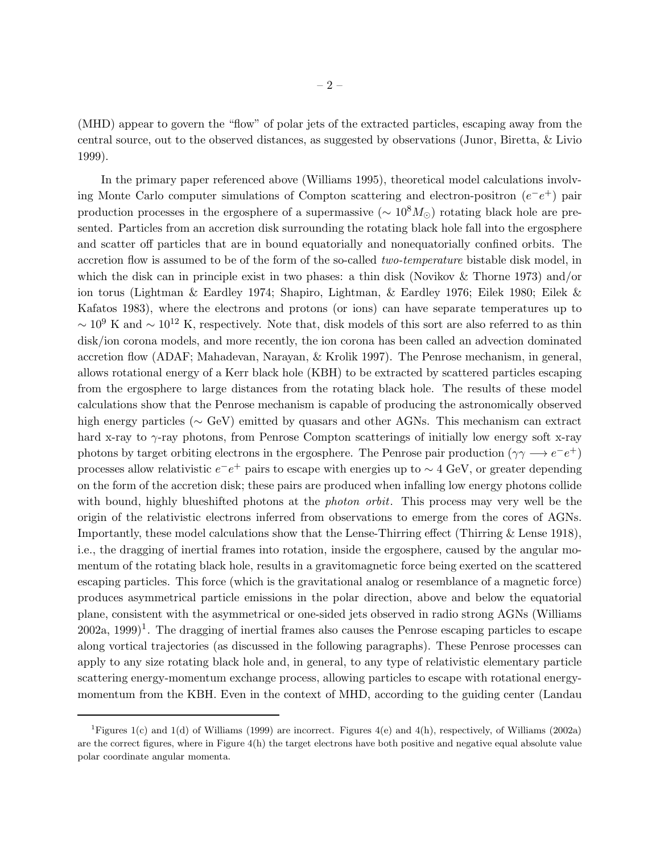(MHD) appear to govern the "flow" of polar jets of the extracted particles, escaping away from the central source, out to the observed distances, as suggested by observations (Junor, Biretta, & Livio 1999).

In the primary paper referenced above (Williams 1995), theoretical model calculations involving Monte Carlo computer simulations of Compton scattering and electron-positron  $(e^-e^+)$  pair production processes in the ergosphere of a supermassive ( $\sim 10^8 M_{\odot}$ ) rotating black hole are presented. Particles from an accretion disk surrounding the rotating black hole fall into the ergosphere and scatter off particles that are in bound equatorially and nonequatorially confined orbits. The accretion flow is assumed to be of the form of the so-called two-temperature bistable disk model, in which the disk can in principle exist in two phases: a thin disk (Novikov & Thorne 1973) and/or ion torus (Lightman & Eardley 1974; Shapiro, Lightman, & Eardley 1976; Eilek 1980; Eilek & Kafatos 1983), where the electrons and protons (or ions) can have separate temperatures up to  $~\sim 10^9$  K and  $~\sim 10^{12}$  K, respectively. Note that, disk models of this sort are also referred to as thin disk/ion corona models, and more recently, the ion corona has been called an advection dominated accretion flow (ADAF; Mahadevan, Narayan, & Krolik 1997). The Penrose mechanism, in general, allows rotational energy of a Kerr black hole (KBH) to be extracted by scattered particles escaping from the ergosphere to large distances from the rotating black hole. The results of these model calculations show that the Penrose mechanism is capable of producing the astronomically observed high energy particles (∼ GeV) emitted by quasars and other AGNs. This mechanism can extract hard x-ray to γ-ray photons, from Penrose Compton scatterings of initially low energy soft x-ray photons by target orbiting electrons in the ergosphere. The Penrose pair production  $(\gamma \gamma \rightarrow e^- e^+)$ processes allow relativistic  $e^-e^+$  pairs to escape with energies up to  $\sim 4$  GeV, or greater depending on the form of the accretion disk; these pairs are produced when infalling low energy photons collide with bound, highly blueshifted photons at the *photon orbit*. This process may very well be the origin of the relativistic electrons inferred from observations to emerge from the cores of AGNs. Importantly, these model calculations show that the Lense-Thirring effect (Thirring & Lense 1918), i.e., the dragging of inertial frames into rotation, inside the ergosphere, caused by the angular momentum of the rotating black hole, results in a gravitomagnetic force being exerted on the scattered escaping particles. This force (which is the gravitational analog or resemblance of a magnetic force) produces asymmetrical particle emissions in the polar direction, above and below the equatorial plane, consistent with the asymmetrical or one-sided jets observed in radio strong AGNs (Williams  $2002a$ ,  $1999$ <sup>1</sup>. The dragging of inertial frames also causes the Penrose escaping particles to escape along vortical trajectories (as discussed in the following paragraphs). These Penrose processes can apply to any size rotating black hole and, in general, to any type of relativistic elementary particle scattering energy-momentum exchange process, allowing particles to escape with rotational energymomentum from the KBH. Even in the context of MHD, according to the guiding center (Landau

<sup>&</sup>lt;sup>1</sup>Figures 1(c) and 1(d) of Williams (1999) are incorrect. Figures 4(e) and 4(h), respectively, of Williams (2002a) are the correct figures, where in Figure 4(h) the target electrons have both positive and negative equal absolute value polar coordinate angular momenta.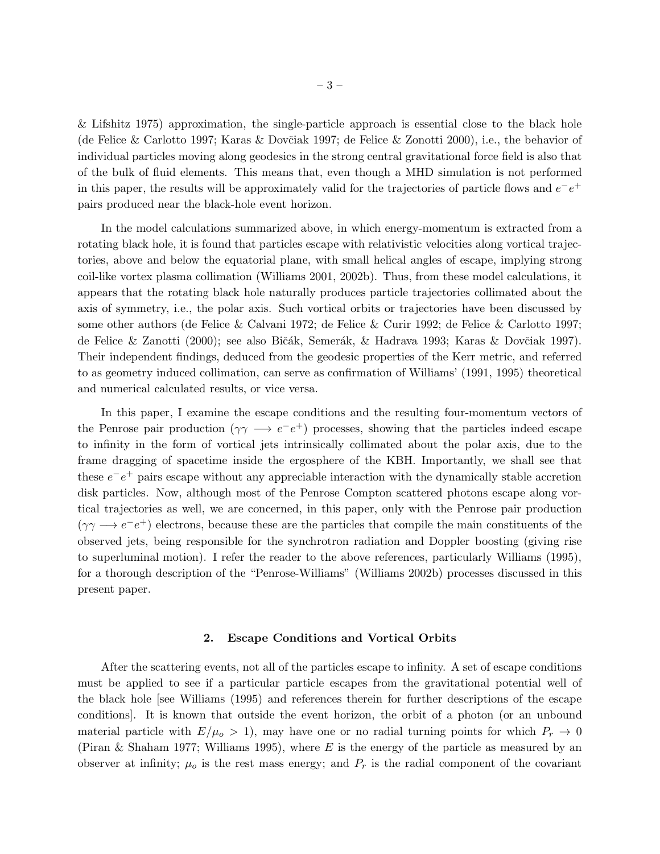& Lifshitz 1975) approximation, the single-particle approach is essential close to the black hole (de Felice & Carlotto 1997; Karas & Dovčiak 1997; de Felice & Zonotti 2000), i.e., the behavior of individual particles moving along geodesics in the strong central gravitational force field is also that of the bulk of fluid elements. This means that, even though a MHD simulation is not performed in this paper, the results will be approximately valid for the trajectories of particle flows and  $e^-e^+$ pairs produced near the black-hole event horizon.

In the model calculations summarized above, in which energy-momentum is extracted from a rotating black hole, it is found that particles escape with relativistic velocities along vortical trajectories, above and below the equatorial plane, with small helical angles of escape, implying strong coil-like vortex plasma collimation (Williams 2001, 2002b). Thus, from these model calculations, it appears that the rotating black hole naturally produces particle trajectories collimated about the axis of symmetry, i.e., the polar axis. Such vortical orbits or trajectories have been discussed by some other authors (de Felice & Calvani 1972; de Felice & Curir 1992; de Felice & Carlotto 1997; de Felice & Zanotti (2000); see also Bičák, Semerák, & Hadrava 1993; Karas & Dovčiak 1997). Their independent findings, deduced from the geodesic properties of the Kerr metric, and referred to as geometry induced collimation, can serve as confirmation of Williams' (1991, 1995) theoretical and numerical calculated results, or vice versa.

In this paper, I examine the escape conditions and the resulting four-momentum vectors of the Penrose pair production  $(\gamma \gamma \rightarrow e^-e^+)$  processes, showing that the particles indeed escape to infinity in the form of vortical jets intrinsically collimated about the polar axis, due to the frame dragging of spacetime inside the ergosphere of the KBH. Importantly, we shall see that these  $e^-e^+$  pairs escape without any appreciable interaction with the dynamically stable accretion disk particles. Now, although most of the Penrose Compton scattered photons escape along vortical trajectories as well, we are concerned, in this paper, only with the Penrose pair production  $(\gamma \gamma \rightarrow e^-e^+)$  electrons, because these are the particles that compile the main constituents of the observed jets, being responsible for the synchrotron radiation and Doppler boosting (giving rise to superluminal motion). I refer the reader to the above references, particularly Williams (1995), for a thorough description of the "Penrose-Williams" (Williams 2002b) processes discussed in this present paper.

#### 2. Escape Conditions and Vortical Orbits

After the scattering events, not all of the particles escape to infinity. A set of escape conditions must be applied to see if a particular particle escapes from the gravitational potential well of the black hole [see Williams (1995) and references therein for further descriptions of the escape conditions]. It is known that outside the event horizon, the orbit of a photon (or an unbound material particle with  $E/\mu_o > 1$ , may have one or no radial turning points for which  $P_r \to 0$ (Piran & Shaham 1977; Williams 1995), where E is the energy of the particle as measured by an observer at infinity;  $\mu_o$  is the rest mass energy; and  $P_r$  is the radial component of the covariant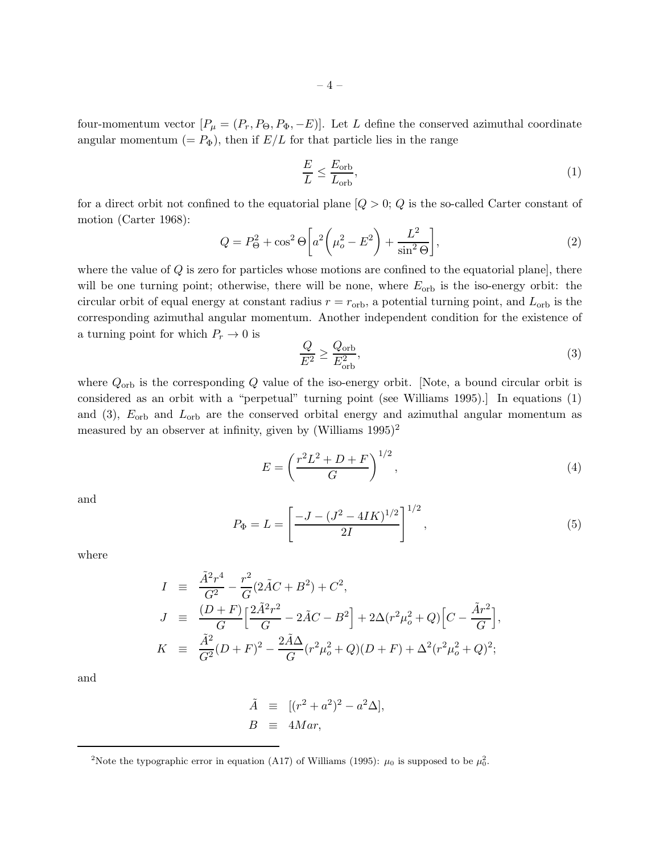four-momentum vector  $[P_\mu = (P_r, P_\Theta, P_\Phi, -E)].$  Let L define the conserved azimuthal coordinate angular momentum  $(= P_{\Phi})$ , then if  $E/L$  for that particle lies in the range

$$
\frac{E}{L} \le \frac{E_{\rm orb}}{L_{\rm orb}},\tag{1}
$$

for a direct orbit not confined to the equatorial plane  $[Q > 0; Q]$  is the so-called Carter constant of motion (Carter 1968):

$$
Q = P_{\Theta}^2 + \cos^2 \Theta \left[ a^2 \left( \mu_o^2 - E^2 \right) + \frac{L^2}{\sin^2 \Theta} \right],\tag{2}
$$

where the value of  $Q$  is zero for particles whose motions are confined to the equatorial plane, there will be one turning point; otherwise, there will be none, where  $E_{\text{orb}}$  is the iso-energy orbit: the circular orbit of equal energy at constant radius  $r = r_{\rm orb}$ , a potential turning point, and  $L_{\rm orb}$  is the corresponding azimuthal angular momentum. Another independent condition for the existence of a turning point for which  $P_r \to 0$  is

$$
\frac{Q}{E^2} \ge \frac{Q_{\rm orb}}{E_{\rm orb}^2},\tag{3}
$$

where  $Q_{\text{orb}}$  is the corresponding Q value of the iso-energy orbit. [Note, a bound circular orbit is considered as an orbit with a "perpetual" turning point (see Williams 1995).] In equations (1) and (3),  $E_{\rm orb}$  and  $L_{\rm orb}$  are the conserved orbital energy and azimuthal angular momentum as measured by an observer at infinity, given by  $(Williams 1995)^2$ 

$$
E = \left(\frac{r^2 L^2 + D + F}{G}\right)^{1/2},\tag{4}
$$

and

$$
P_{\Phi} = L = \left[ \frac{-J - (J^2 - 4IK)^{1/2}}{2I} \right]^{1/2},\tag{5}
$$

where

$$
I = \frac{\tilde{A}^2 r^4}{G^2} - \frac{r^2}{G} (2\tilde{A}C + B^2) + C^2,
$$
  
\n
$$
J = \frac{(D+F)}{G} \Big[ \frac{2\tilde{A}^2 r^2}{G} - 2\tilde{A}C - B^2 \Big] + 2\Delta (r^2 \mu_o^2 + Q) \Big[ C - \frac{\tilde{A}r^2}{G} \Big],
$$
  
\n
$$
K = \frac{\tilde{A}^2}{G^2} (D+F)^2 - \frac{2\tilde{A}\Delta}{G} (r^2 \mu_o^2 + Q)(D+F) + \Delta^2 (r^2 \mu_o^2 + Q)^2;
$$

and

$$
\tilde{A} \equiv [(r^2 + a^2)^2 - a^2 \Delta],
$$
  
\n
$$
B \equiv 4Mar,
$$

<sup>&</sup>lt;sup>2</sup>Note the typographic error in equation (A17) of Williams (1995):  $\mu_0$  is supposed to be  $\mu_0^2$ .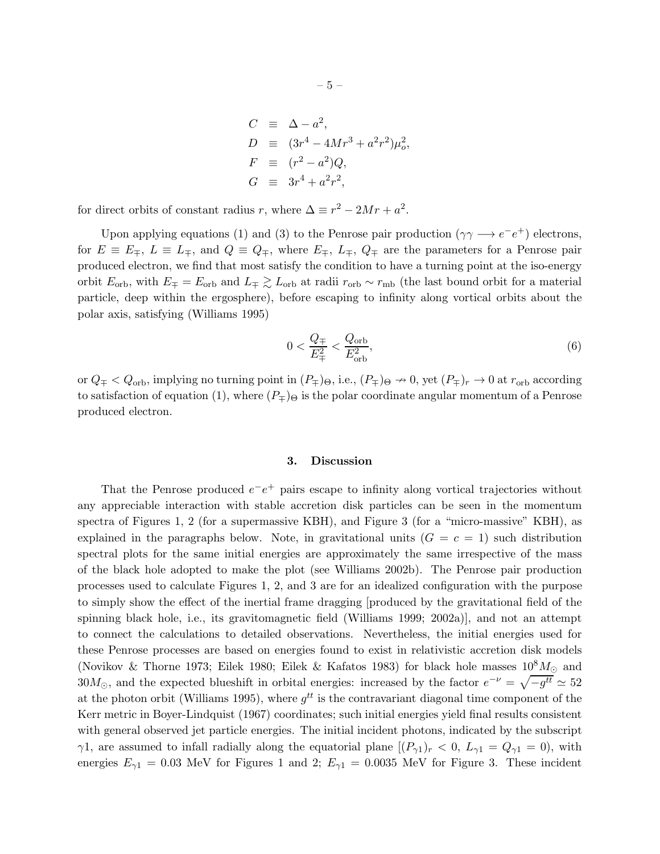$$
C \equiv \Delta - a^2,
$$
  
\n
$$
D \equiv (3r^4 - 4Mr^3 + a^2r^2)\mu_o^2,
$$
  
\n
$$
F \equiv (r^2 - a^2)Q,
$$
  
\n
$$
G \equiv 3r^4 + a^2r^2,
$$

for direct orbits of constant radius r, where  $\Delta \equiv r^2 - 2Mr + a^2$ .

Upon applying equations (1) and (3) to the Penrose pair production  $(\gamma \gamma \rightarrow e^-e^+)$  electrons, for  $E \equiv E_{\mp}$ ,  $L \equiv L_{\mp}$ , and  $Q \equiv Q_{\mp}$ , where  $E_{\mp}$ ,  $L_{\mp}$ ,  $Q_{\mp}$  are the parameters for a Penrose pair produced electron, we find that most satisfy the condition to have a turning point at the iso-energy orbit  $E_{\rm orb}$ , with  $E_{\pm} = E_{\rm orb}$  and  $L_{\pm} \gtrsim L_{\rm orb}$  at radii  $r_{\rm orb} \sim r_{\rm mb}$  (the last bound orbit for a material particle, deep within the ergosphere), before escaping to infinity along vortical orbits about the polar axis, satisfying (Williams 1995)

$$
0 < \frac{Q_{\mp}}{E_{\mp}^2} < \frac{Q_{\text{orb}}}{E_{\text{orb}}^2},\tag{6}
$$

or  $Q_{\mp} < Q_{\text{orb}}$ , implying no turning point in  $(P_{\mp})_{\Theta}$ , i.e.,  $(P_{\mp})_{\Theta} \nrightarrow 0$ , yet  $(P_{\mp})_r \rightarrow 0$  at  $r_{\text{orb}}$  according to satisfaction of equation (1), where  $(P_{\pm})_{\Theta}$  is the polar coordinate angular momentum of a Penrose produced electron.

#### 3. Discussion

That the Penrose produced  $e^-e^+$  pairs escape to infinity along vortical trajectories without any appreciable interaction with stable accretion disk particles can be seen in the momentum spectra of Figures 1, 2 (for a supermassive KBH), and Figure 3 (for a "micro-massive" KBH), as explained in the paragraphs below. Note, in gravitational units  $(G = c = 1)$  such distribution spectral plots for the same initial energies are approximately the same irrespective of the mass of the black hole adopted to make the plot (see Williams 2002b). The Penrose pair production processes used to calculate Figures 1, 2, and 3 are for an idealized configuration with the purpose to simply show the effect of the inertial frame dragging [produced by the gravitational field of the spinning black hole, i.e., its gravitomagnetic field (Williams 1999; 2002a)], and not an attempt to connect the calculations to detailed observations. Nevertheless, the initial energies used for these Penrose processes are based on energies found to exist in relativistic accretion disk models (Novikov & Thorne 1973; Eilek 1980; Eilek & Kafatos 1983) for black hole masses  $10^8 M_{\odot}$  and 30 $M_{\odot}$ , and the expected blueshift in orbital energies: increased by the factor  $e^{-\nu} = \sqrt{-g^{tt}} \simeq 52$ at the photon orbit (Williams 1995), where  $g^{tt}$  is the contravariant diagonal time component of the Kerr metric in Boyer-Lindquist (1967) coordinates; such initial energies yield final results consistent with general observed jet particle energies. The initial incident photons, indicated by the subscript  $\gamma$ 1, are assumed to infall radially along the equatorial plane  $[(P_{\gamma1})_r < 0, L_{\gamma1} = Q_{\gamma1} = 0)$ , with energies  $E_{\gamma 1} = 0.03$  MeV for Figures 1 and 2;  $E_{\gamma 1} = 0.0035$  MeV for Figure 3. These incident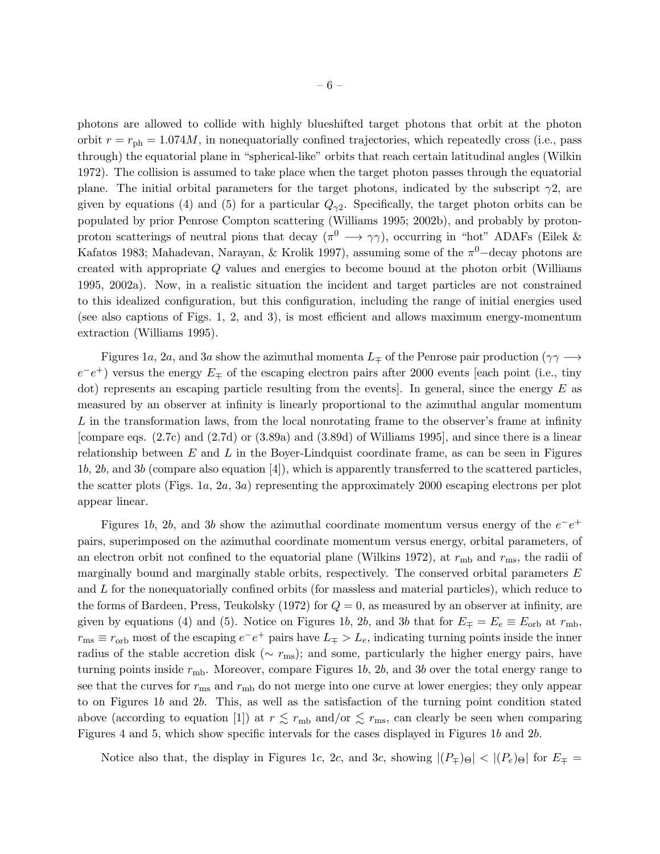photons are allowed to collide with highly blueshifted target photons that orbit at the photon orbit  $r = r_{\rm ph} = 1.074M$ , in nonequatorially confined trajectories, which repeatedly cross (i.e., pass through) the equatorial plane in "spherical-like" orbits that reach certain latitudinal angles (Wilkin 1972). The collision is assumed to take place when the target photon passes through the equatorial plane. The initial orbital parameters for the target photons, indicated by the subscript  $\gamma$ 2, are given by equations (4) and (5) for a particular  $Q_{\gamma 2}$ . Specifically, the target photon orbits can be populated by prior Penrose Compton scattering (Williams 1995; 2002b), and probably by protonproton scatterings of neutral pions that decay  $(\pi^0 \longrightarrow \gamma\gamma)$ , occurring in "hot" ADAFs (Eilek & Kafatos 1983; Mahadevan, Narayan, & Krolik 1997), assuming some of the  $\pi^0$ -decay photons are created with appropriate Q values and energies to become bound at the photon orbit (Williams 1995, 2002a). Now, in a realistic situation the incident and target particles are not constrained to this idealized configuration, but this configuration, including the range of initial energies used (see also captions of Figs. 1, 2, and 3), is most efficient and allows maximum energy-momentum extraction (Williams 1995).

Figures 1a, 2a, and 3a show the azimuthal momenta  $L_{\mp}$  of the Penrose pair production ( $\gamma\gamma \rightarrow$  $e^-e^+$ ) versus the energy  $E_{\pm}$  of the escaping electron pairs after 2000 events [each point (i.e., tiny dot) represents an escaping particle resulting from the events. In general, since the energy  $E$  as measured by an observer at infinity is linearly proportional to the azimuthal angular momentum L in the transformation laws, from the local nonrotating frame to the observer's frame at infinity [compare eqs. (2.7c) and (2.7d) or (3.89a) and (3.89d) of Williams 1995], and since there is a linear relationship between  $E$  and  $L$  in the Boyer-Lindquist coordinate frame, as can be seen in Figures 1b, 2b, and 3b (compare also equation [4]), which is apparently transferred to the scattered particles, the scatter plots (Figs. 1a, 2a, 3a) representing the approximately 2000 escaping electrons per plot appear linear.

Figures 1b, 2b, and 3b show the azimuthal coordinate momentum versus energy of the  $e^-e^+$ pairs, superimposed on the azimuthal coordinate momentum versus energy, orbital parameters, of an electron orbit not confined to the equatorial plane (Wilkins 1972), at  $r_{\text{mb}}$  and  $r_{\text{ms}}$ , the radii of marginally bound and marginally stable orbits, respectively. The conserved orbital parameters E and  $L$  for the nonequatorially confined orbits (for massless and material particles), which reduce to the forms of Bardeen, Press, Teukolsky (1972) for  $Q = 0$ , as measured by an observer at infinity, are given by equations (4) and (5). Notice on Figures 1b, 2b, and 3b that for  $E_{\pm} = E_e \equiv E_{\rm orb}$  at  $r_{\rm mb}$ ,  $r_{\text{ms}} \equiv r_{\text{orb}}$  most of the escaping  $e^-e^+$  pairs have  $L_{\mp} > L_e$ , indicating turning points inside the inner radius of the stable accretion disk ( $\sim r_{\rm ms}$ ); and some, particularly the higher energy pairs, have turning points inside  $r_{\rm mb}$ . Moreover, compare Figures 1b, 2b, and 3b over the total energy range to see that the curves for  $r_{\rm ms}$  and  $r_{\rm mb}$  do not merge into one curve at lower energies; they only appear to on Figures 1b and 2b. This, as well as the satisfaction of the turning point condition stated above (according to equation [1]) at  $r \lesssim r_{\rm mb}$  and/or  $\lesssim r_{\rm ms}$ , can clearly be seen when comparing Figures 4 and 5, which show specific intervals for the cases displayed in Figures 1b and 2b.

Notice also that, the display in Figures 1c, 2c, and 3c, showing  $|(P_{\pm})_{\Theta}| < |(P_e)_{\Theta}|$  for  $E_{\pm}$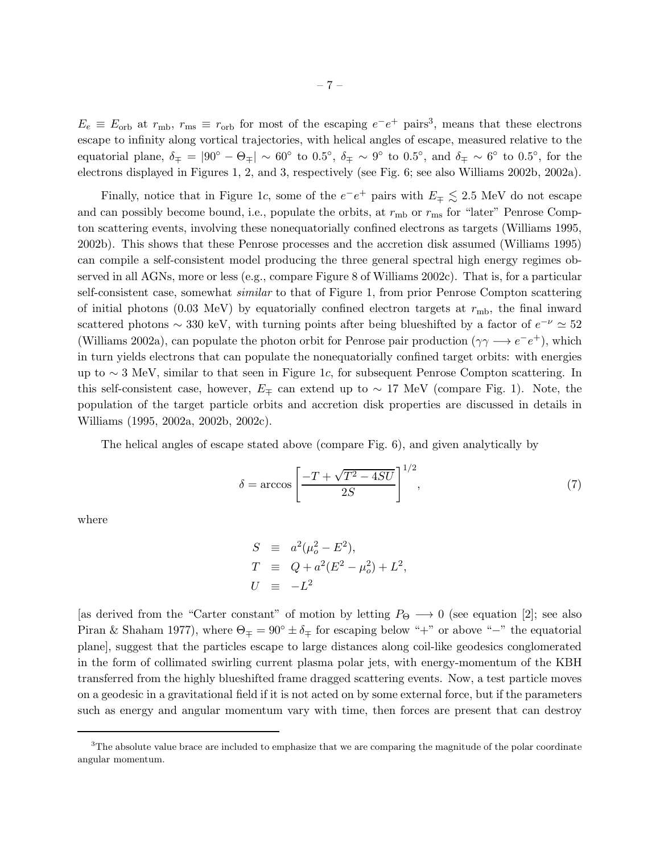$E_e \equiv E_{\rm orb}$  at  $r_{\rm mb}$ ,  $r_{\rm ms} \equiv r_{\rm orb}$  for most of the escaping  $e^-e^+$  pairs<sup>3</sup>, means that these electrons escape to infinity along vortical trajectories, with helical angles of escape, measured relative to the equatorial plane,  $\delta_{\mp} = |90^{\circ} - \Theta_{\mp}| \sim 60^{\circ}$  to  $0.5^{\circ}$ ,  $\delta_{\mp} \sim 9^{\circ}$  to  $0.5^{\circ}$ , and  $\delta_{\mp} \sim 6^{\circ}$  to  $0.5^{\circ}$ , for the electrons displayed in Figures 1, 2, and 3, respectively (see Fig. 6; see also Williams 2002b, 2002a).

Finally, notice that in Figure 1c, some of the  $e^-e^+$  pairs with  $E_{\pm} \lesssim 2.5$  MeV do not escape and can possibly become bound, i.e., populate the orbits, at  $r_{\rm mb}$  or  $r_{\rm ms}$  for "later" Penrose Compton scattering events, involving these nonequatorially confined electrons as targets (Williams 1995, 2002b). This shows that these Penrose processes and the accretion disk assumed (Williams 1995) can compile a self-consistent model producing the three general spectral high energy regimes observed in all AGNs, more or less (e.g., compare Figure 8 of Williams 2002c). That is, for a particular self-consistent case, somewhat *similar* to that of Figure 1, from prior Penrose Compton scattering of initial photons (0.03 MeV) by equatorially confined electron targets at  $r_{\rm mb}$ , the final inward scattered photons  $\sim$  330 keV, with turning points after being blueshifted by a factor of  $e^{-\nu} \simeq 52$ (Williams 2002a), can populate the photon orbit for Penrose pair production ( $\gamma \gamma \rightarrow e^-e^+$ ), which in turn yields electrons that can populate the nonequatorially confined target orbits: with energies up to ∼ 3 MeV, similar to that seen in Figure 1c, for subsequent Penrose Compton scattering. In this self-consistent case, however,  $E_{\pm}$  can extend up to ~ 17 MeV (compare Fig. 1). Note, the population of the target particle orbits and accretion disk properties are discussed in details in Williams (1995, 2002a, 2002b, 2002c).

The helical angles of escape stated above (compare Fig. 6), and given analytically by

$$
\delta = \arccos\left[\frac{-T + \sqrt{T^2 - 4SU}}{2S}\right]^{1/2},\tag{7}
$$

where

$$
S = a^{2}(\mu_{o}^{2} - E^{2}),
$$
  
\n
$$
T = Q + a^{2}(E^{2} - \mu_{o}^{2}) + L^{2},
$$
  
\n
$$
U = -L^{2}
$$

[as derived from the "Carter constant" of motion by letting  $P_{\Theta} \longrightarrow 0$  (see equation [2]; see also Piran & Shaham 1977), where  $\Theta_{\mp} = 90^{\circ} \pm \delta_{\mp}$  for escaping below "+" or above "−" the equatorial plane], suggest that the particles escape to large distances along coil-like geodesics conglomerated in the form of collimated swirling current plasma polar jets, with energy-momentum of the KBH transferred from the highly blueshifted frame dragged scattering events. Now, a test particle moves on a geodesic in a gravitational field if it is not acted on by some external force, but if the parameters such as energy and angular momentum vary with time, then forces are present that can destroy

 $3$ The absolute value brace are included to emphasize that we are comparing the magnitude of the polar coordinate angular momentum.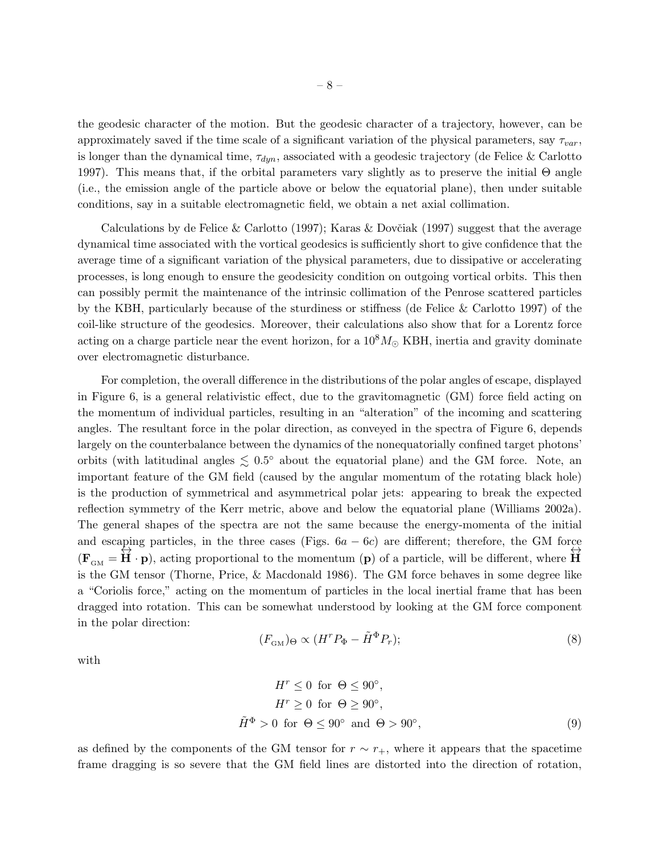the geodesic character of the motion. But the geodesic character of a trajectory, however, can be approximately saved if the time scale of a significant variation of the physical parameters, say  $\tau_{var}$ , is longer than the dynamical time,  $\tau_{dyn}$ , associated with a geodesic trajectory (de Felice & Carlotto 1997). This means that, if the orbital parameters vary slightly as to preserve the initial  $\Theta$  angle (i.e., the emission angle of the particle above or below the equatorial plane), then under suitable conditions, say in a suitable electromagnetic field, we obtain a net axial collimation.

Calculations by de Felice & Carlotto (1997); Karas & Dovčiak (1997) suggest that the average dynamical time associated with the vortical geodesics is sufficiently short to give confidence that the average time of a significant variation of the physical parameters, due to dissipative or accelerating processes, is long enough to ensure the geodesicity condition on outgoing vortical orbits. This then can possibly permit the maintenance of the intrinsic collimation of the Penrose scattered particles by the KBH, particularly because of the sturdiness or stiffness (de Felice & Carlotto 1997) of the coil-like structure of the geodesics. Moreover, their calculations also show that for a Lorentz force acting on a charge particle near the event horizon, for a  $10^8 M_{\odot}$  KBH, inertia and gravity dominate over electromagnetic disturbance.

For completion, the overall difference in the distributions of the polar angles of escape, displayed in Figure 6, is a general relativistic effect, due to the gravitomagnetic (GM) force field acting on the momentum of individual particles, resulting in an "alteration" of the incoming and scattering angles. The resultant force in the polar direction, as conveyed in the spectra of Figure 6, depends largely on the counterbalance between the dynamics of the nonequatorially confined target photons' orbits (with latitudinal angles  $\lesssim 0.5^{\circ}$  about the equatorial plane) and the GM force. Note, an important feature of the GM field (caused by the angular momentum of the rotating black hole) is the production of symmetrical and asymmetrical polar jets: appearing to break the expected reflection symmetry of the Kerr metric, above and below the equatorial plane (Williams 2002a). The general shapes of the spectra are not the same because the energy-momenta of the initial and escaping particles, in the three cases (Figs.  $6a - 6c$ ) are different; therefore, the GM force  $(\mathbf{F}_{GM} = \hat{\mathbf{H}} \cdot \mathbf{p})$ , acting proportional to the momentum  $(\mathbf{p})$  of a particle, will be different, where  $\hat{\mathbf{H}}$ is the GM tensor (Thorne, Price, & Macdonald 1986). The GM force behaves in some degree like a "Coriolis force," acting on the momentum of particles in the local inertial frame that has been dragged into rotation. This can be somewhat understood by looking at the GM force component in the polar direction:

$$
(F_{\text{GM}})_{\Theta} \propto (H^r P_{\Phi} - \tilde{H}^{\Phi} P_r); \tag{8}
$$

with

$$
H^r \le 0 \text{ for } \Theta \le 90^\circ,
$$
  
\n
$$
H^r \ge 0 \text{ for } \Theta \ge 90^\circ,
$$
  
\n
$$
\tilde{H}^{\Phi} > 0 \text{ for } \Theta \le 90^\circ \text{ and } \Theta > 90^\circ,
$$
\n(9)

as defined by the components of the GM tensor for  $r \sim r_{+}$ , where it appears that the spacetime frame dragging is so severe that the GM field lines are distorted into the direction of rotation,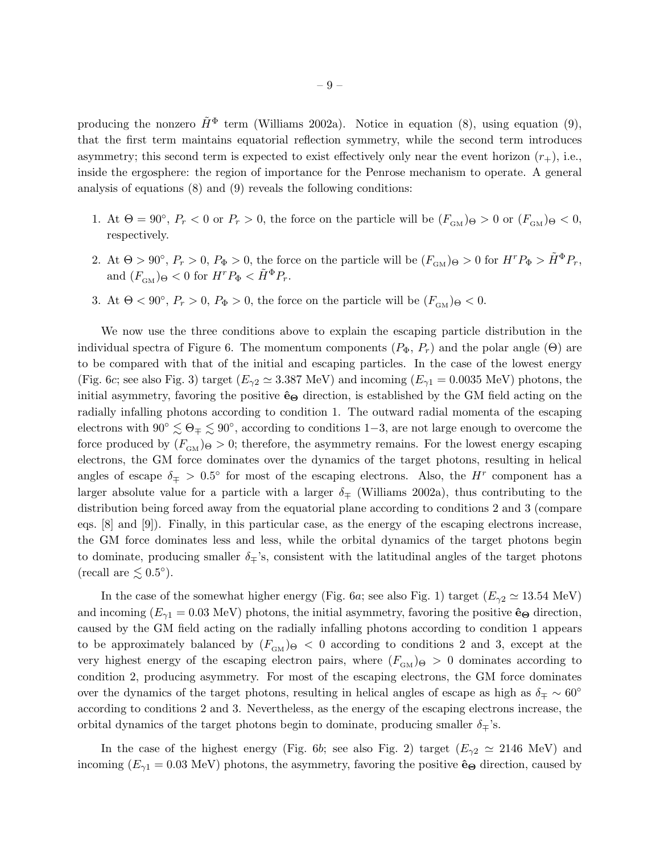producing the nonzero  $\tilde{H}^{\Phi}$  term (Williams 2002a). Notice in equation (8), using equation (9), that the first term maintains equatorial reflection symmetry, while the second term introduces asymmetry; this second term is expected to exist effectively only near the event horizon  $(r_{+})$ , i.e., inside the ergosphere: the region of importance for the Penrose mechanism to operate. A general analysis of equations (8) and (9) reveals the following conditions:

- 1. At  $\Theta = 90^{\circ}$ ,  $P_r < 0$  or  $P_r > 0$ , the force on the particle will be  $(F_{\text{GM}})_{\Theta} > 0$  or  $(F_{\text{GM}})_{\Theta} < 0$ , respectively.
- 2. At  $\Theta > 90^{\circ}$ ,  $P_r > 0$ ,  $P_{\Phi} > 0$ , the force on the particle will be  $(F_{GM})_{\Theta} > 0$  for  $H^r P_{\Phi} > \tilde{H}^{\Phi} P_r$ , and  $(F_{\text{cm}})_{\Theta} < 0$  for  $H^r P_{\Phi} < \tilde{H}^{\Phi} P_r$ .
- 3. At  $\Theta < 90^{\circ}$ ,  $P_r > 0$ ,  $P_{\Phi} > 0$ , the force on the particle will be  $(F_{GM})_{\Theta} < 0$ .

We now use the three conditions above to explain the escaping particle distribution in the individual spectra of Figure 6. The momentum components  $(P_{\Phi}, P_r)$  and the polar angle ( $\Theta$ ) are to be compared with that of the initial and escaping particles. In the case of the lowest energy (Fig. 6c; see also Fig. 3) target ( $E_{\gamma 2} \simeq 3.387 \text{ MeV}$ ) and incoming ( $E_{\gamma 1} = 0.0035 \text{ MeV}$ ) photons, the initial asymmetry, favoring the positive  $\hat{\mathbf{e}}_{\Theta}$  direction, is established by the GM field acting on the radially infalling photons according to condition 1. The outward radial momenta of the escaping electrons with  $90^{\circ} \lesssim \Theta_{\mp} \lesssim 90^{\circ}$ , according to conditions 1–3, are not large enough to overcome the force produced by  $(F_{GM})_{\Theta} > 0$ ; therefore, the asymmetry remains. For the lowest energy escaping electrons, the GM force dominates over the dynamics of the target photons, resulting in helical angles of escape  $\delta_{\mp} > 0.5^{\circ}$  for most of the escaping electrons. Also, the H<sup>r</sup> component has a larger absolute value for a particle with a larger  $\delta_{\pm}$  (Williams 2002a), thus contributing to the distribution being forced away from the equatorial plane according to conditions 2 and 3 (compare eqs. [8] and [9]). Finally, in this particular case, as the energy of the escaping electrons increase, the GM force dominates less and less, while the orbital dynamics of the target photons begin to dominate, producing smaller  $\delta_{\pm}$ 's, consistent with the latitudinal angles of the target photons (recall are  $\lesssim 0.5^{\circ}$ ).

In the case of the somewhat higher energy (Fig. 6a; see also Fig. 1) target  $(E_{\gamma2} \simeq 13.54 \text{ MeV})$ and incoming  $(E_{\gamma 1} = 0.03 \text{ MeV})$  photons, the initial asymmetry, favoring the positive  $\hat{\mathbf{e}}_{\Theta}$  direction, caused by the GM field acting on the radially infalling photons according to condition 1 appears to be approximately balanced by  $(F_{\text{GM}})_{\theta} < 0$  according to conditions 2 and 3, except at the very highest energy of the escaping electron pairs, where  $(F_{GM})_{\Theta} > 0$  dominates according to condition 2, producing asymmetry. For most of the escaping electrons, the GM force dominates over the dynamics of the target photons, resulting in helical angles of escape as high as  $\delta_{\mp} \sim 60^{\circ}$ according to conditions 2 and 3. Nevertheless, as the energy of the escaping electrons increase, the orbital dynamics of the target photons begin to dominate, producing smaller  $\delta_{\pm}$ 's.

In the case of the highest energy (Fig. 6b; see also Fig. 2) target  $(E_{\gamma2} \simeq 2146 \text{ MeV})$  and incoming ( $E_{\gamma1} = 0.03$  MeV) photons, the asymmetry, favoring the positive  $\hat{\mathbf{e}}_{\Theta}$  direction, caused by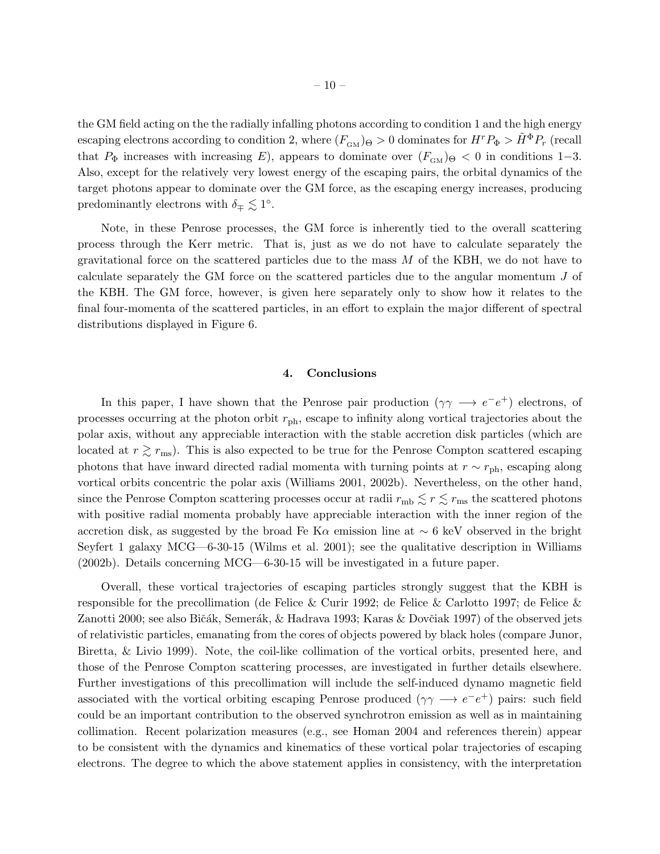the GM field acting on the the radially infalling photons according to condition 1 and the high energy escaping electrons according to condition 2, where  $(F_{GM})_{\Theta} > 0$  dominates for  $H^r P_{\Phi} > \tilde{H}^{\Phi} P_r$  (recall that  $P_{\Phi}$  increases with increasing E), appears to dominate over  $(F_{GM})_{\Theta} < 0$  in conditions 1–3. Also, except for the relatively very lowest energy of the escaping pairs, the orbital dynamics of the target photons appear to dominate over the GM force, as the escaping energy increases, producing predominantly electrons with  $\delta_{\mp} \lesssim 1^{\circ}$ .

Note, in these Penrose processes, the GM force is inherently tied to the overall scattering process through the Kerr metric. That is, just as we do not have to calculate separately the gravitational force on the scattered particles due to the mass  $M$  of the KBH, we do not have to calculate separately the GM force on the scattered particles due to the angular momentum J of the KBH. The GM force, however, is given here separately only to show how it relates to the final four-momenta of the scattered particles, in an effort to explain the major different of spectral distributions displayed in Figure 6.

## 4. Conclusions

In this paper, I have shown that the Penrose pair production  $(\gamma \gamma \rightarrow e^-e^+)$  electrons, of processes occurring at the photon orbit  $r_{\rm ph}$ , escape to infinity along vortical trajectories about the polar axis, without any appreciable interaction with the stable accretion disk particles (which are located at  $r \gtrsim r_{\text{ms}}$ ). This is also expected to be true for the Penrose Compton scattered escaping photons that have inward directed radial momenta with turning points at  $r \sim r_{\rm ph}$ , escaping along vortical orbits concentric the polar axis (Williams 2001, 2002b). Nevertheless, on the other hand, since the Penrose Compton scattering processes occur at radii  $r_{\rm mb} \lesssim r \lesssim r_{\rm ms}$  the scattered photons with positive radial momenta probably have appreciable interaction with the inner region of the accretion disk, as suggested by the broad Fe K $\alpha$  emission line at  $\sim$  6 keV observed in the bright Seyfert 1 galaxy MCG—6-30-15 (Wilms et al. 2001); see the qualitative description in Williams (2002b). Details concerning MCG—6-30-15 will be investigated in a future paper.

Overall, these vortical trajectories of escaping particles strongly suggest that the KBH is responsible for the precollimation (de Felice & Curir 1992; de Felice & Carlotto 1997; de Felice & Zanotti 2000; see also Bičák, Semerák, & Hadrava 1993; Karas & Dovčiak 1997) of the observed jets of relativistic particles, emanating from the cores of objects powered by black holes (compare Junor, Biretta, & Livio 1999). Note, the coil-like collimation of the vortical orbits, presented here, and those of the Penrose Compton scattering processes, are investigated in further details elsewhere. Further investigations of this precollimation will include the self-induced dynamo magnetic field associated with the vortical orbiting escaping Penrose produced  $(\gamma \gamma \rightarrow e^-e^+)$  pairs: such field could be an important contribution to the observed synchrotron emission as well as in maintaining collimation. Recent polarization measures (e.g., see Homan 2004 and references therein) appear to be consistent with the dynamics and kinematics of these vortical polar trajectories of escaping electrons. The degree to which the above statement applies in consistency, with the interpretation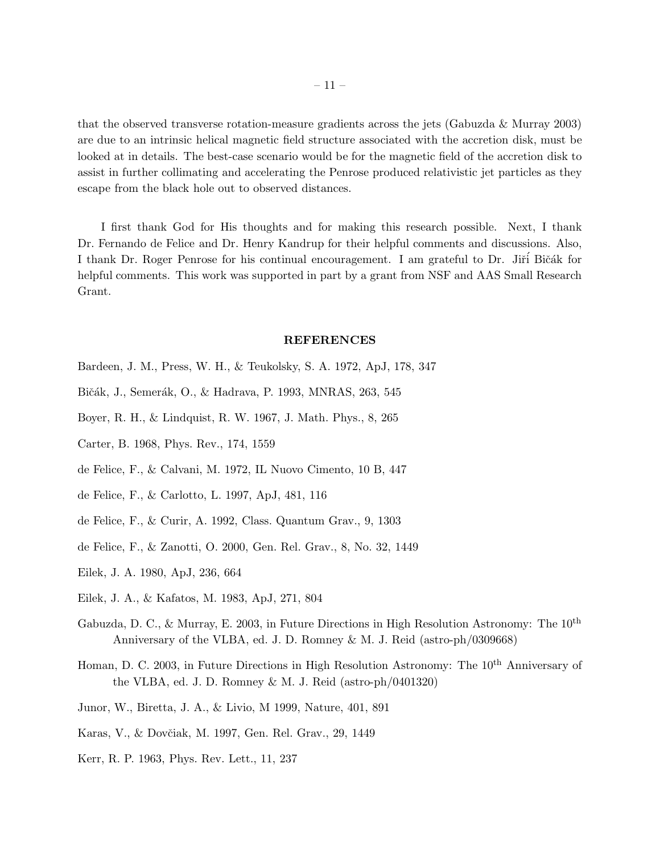that the observed transverse rotation-measure gradients across the jets (Gabuzda & Murray 2003) are due to an intrinsic helical magnetic field structure associated with the accretion disk, must be looked at in details. The best-case scenario would be for the magnetic field of the accretion disk to assist in further collimating and accelerating the Penrose produced relativistic jet particles as they escape from the black hole out to observed distances.

I first thank God for His thoughts and for making this research possible. Next, I thank Dr. Fernando de Felice and Dr. Henry Kandrup for their helpful comments and discussions. Also, I thank Dr. Roger Penrose for his continual encouragement. I am grateful to Dr. Jiří Bičák for helpful comments. This work was supported in part by a grant from NSF and AAS Small Research Grant.

#### REFERENCES

- Bardeen, J. M., Press, W. H., & Teukolsky, S. A. 1972, ApJ, 178, 347
- Bičák, J., Semerák, O., & Hadrava, P. 1993, MNRAS, 263, 545
- Boyer, R. H., & Lindquist, R. W. 1967, J. Math. Phys., 8, 265
- Carter, B. 1968, Phys. Rev., 174, 1559
- de Felice, F., & Calvani, M. 1972, IL Nuovo Cimento, 10 B, 447
- de Felice, F., & Carlotto, L. 1997, ApJ, 481, 116
- de Felice, F., & Curir, A. 1992, Class. Quantum Grav., 9, 1303
- de Felice, F., & Zanotti, O. 2000, Gen. Rel. Grav., 8, No. 32, 1449
- Eilek, J. A. 1980, ApJ, 236, 664
- Eilek, J. A., & Kafatos, M. 1983, ApJ, 271, 804
- Gabuzda, D. C., & Murray, E. 2003, in Future Directions in High Resolution Astronomy: The 10th Anniversary of the VLBA, ed. J. D. Romney & M. J. Reid (astro-ph/0309668)
- Homan, D. C. 2003, in Future Directions in High Resolution Astronomy: The 10<sup>th</sup> Anniversary of the VLBA, ed. J. D. Romney & M. J. Reid (astro-ph/0401320)
- Junor, W., Biretta, J. A., & Livio, M 1999, Nature, 401, 891
- Karas, V., & Dovčiak, M. 1997, Gen. Rel. Grav., 29, 1449
- Kerr, R. P. 1963, Phys. Rev. Lett., 11, 237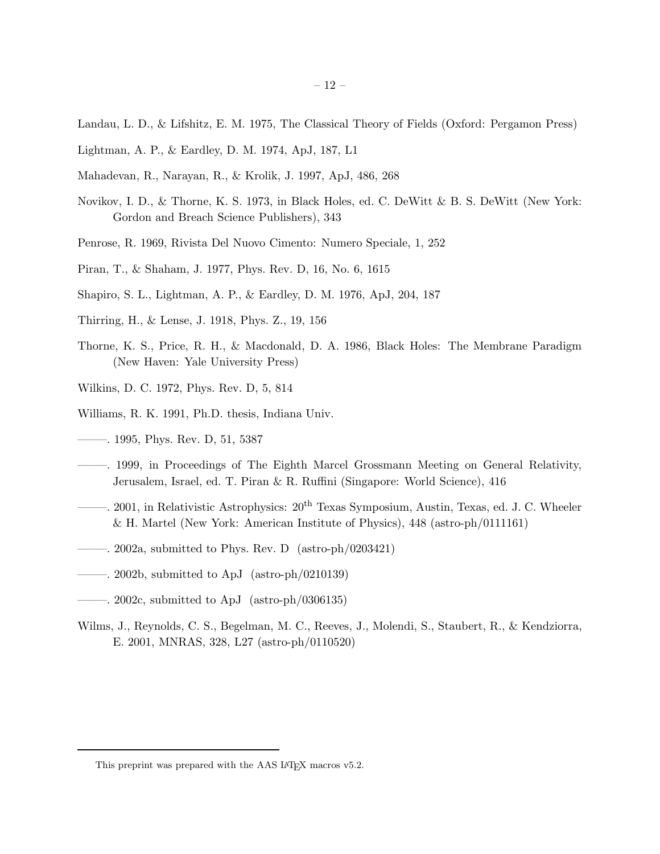- Landau, L. D., & Lifshitz, E. M. 1975, The Classical Theory of Fields (Oxford: Pergamon Press)
- Lightman, A. P., & Eardley, D. M. 1974, ApJ, 187, L1
- Mahadevan, R., Narayan, R., & Krolik, J. 1997, ApJ, 486, 268
- Novikov, I. D., & Thorne, K. S. 1973, in Black Holes, ed. C. DeWitt & B. S. DeWitt (New York: Gordon and Breach Science Publishers), 343
- Penrose, R. 1969, Rivista Del Nuovo Cimento: Numero Speciale, 1, 252
- Piran, T., & Shaham, J. 1977, Phys. Rev. D, 16, No. 6, 1615
- Shapiro, S. L., Lightman, A. P., & Eardley, D. M. 1976, ApJ, 204, 187
- Thirring, H., & Lense, J. 1918, Phys. Z., 19, 156
- Thorne, K. S., Price, R. H., & Macdonald, D. A. 1986, Black Holes: The Membrane Paradigm (New Haven: Yale University Press)
- Wilkins, D. C. 1972, Phys. Rev. D, 5, 814
- Williams, R. K. 1991, Ph.D. thesis, Indiana Univ.
- ——–. 1995, Phys. Rev. D, 51, 5387
- ——–. 1999, in Proceedings of The Eighth Marcel Grossmann Meeting on General Relativity, Jerusalem, Israel, ed. T. Piran & R. Ruffini (Singapore: World Science), 416
- ——–. 2001, in Relativistic Astrophysics: 20th Texas Symposium, Austin, Texas, ed. J. C. Wheeler & H. Martel (New York: American Institute of Physics), 448 (astro-ph/0111161)
- ——–. 2002a, submitted to Phys. Rev. D (astro-ph/0203421)
- ——–. 2002b, submitted to ApJ (astro-ph/0210139)
- $-$ . 2002c, submitted to ApJ (astro-ph/0306135)
- Wilms, J., Reynolds, C. S., Begelman, M. C., Reeves, J., Molendi, S., Staubert, R., & Kendziorra, E. 2001, MNRAS, 328, L27 (astro-ph/0110520)

This preprint was prepared with the AAS IATEX macros v5.2.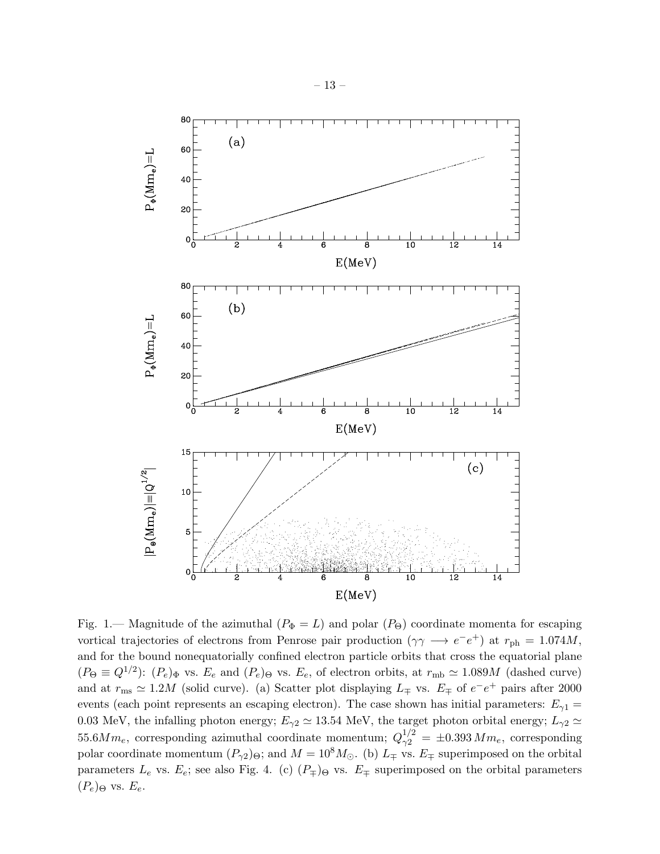

Fig. 1.— Magnitude of the azimuthal  $(P_{\Phi} = L)$  and polar  $(P_{\Theta})$  coordinate momenta for escaping vortical trajectories of electrons from Penrose pair production  $(\gamma \gamma \rightarrow e^-e^+)$  at  $r_{\rm ph} = 1.074M$ , and for the bound nonequatorially confined electron particle orbits that cross the equatorial plane  $(P_{\Theta} \equiv Q^{1/2})$ :  $(P_e)_{\Phi}$  vs.  $E_e$  and  $(P_e)_{\Theta}$  vs.  $E_e$ , of electron orbits, at  $r_{\rm mb} \simeq 1.089M$  (dashed curve) and at  $r_{\text{ms}} \simeq 1.2M$  (solid curve). (a) Scatter plot displaying  $L_{\pm}$  vs.  $E_{\mp}$  of  $e^-e^+$  pairs after 2000 events (each point represents an escaping electron). The case shown has initial parameters:  $E_{\gamma 1} =$ 0.03 MeV, the infalling photon energy;  $E_{\gamma 2} \simeq 13.54$  MeV, the target photon orbital energy;  $L_{\gamma 2} \simeq$ 55.6 $Mm_e$ , corresponding azimuthal coordinate momentum;  $Q_{\gamma 2}^{1/2} = \pm 0.393 Mm_e$ , corresponding polar coordinate momentum  $(P_{\gamma 2})_{\Theta}$ ; and  $M = 10^8 M_{\odot}$ . (b)  $L_{\pm}$  vs.  $E_{\mp}$  superimposed on the orbital parameters  $L_e$  vs.  $E_e$ ; see also Fig. 4. (c)  $(P_{\mp})_{\Theta}$  vs.  $E_{\mp}$  superimposed on the orbital parameters  $(P_e)_{\Theta}$  vs.  $E_e$ .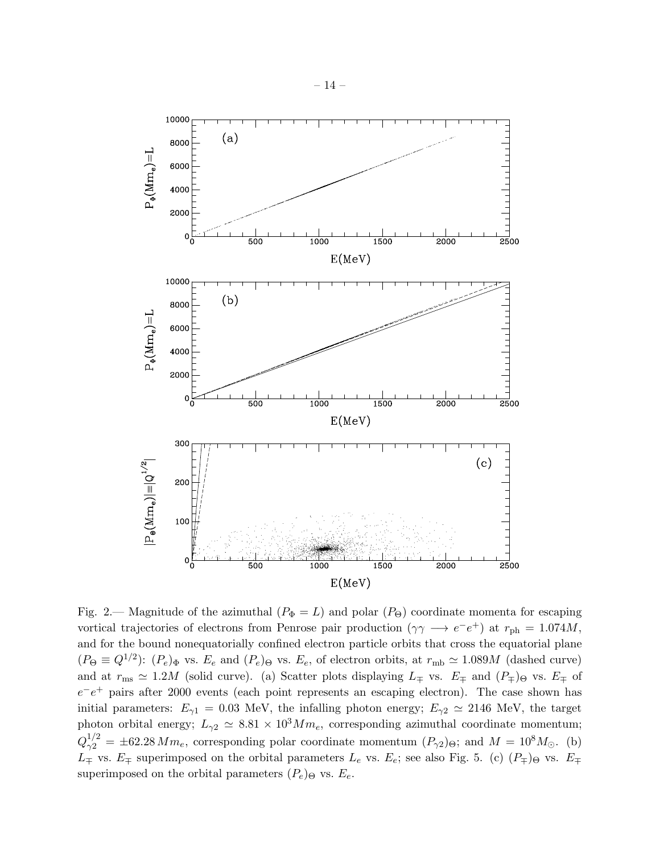

Fig. 2.— Magnitude of the azimuthal  $(P_{\Phi} = L)$  and polar  $(P_{\Theta})$  coordinate momenta for escaping vortical trajectories of electrons from Penrose pair production ( $\gamma \gamma \rightarrow e^-e^+$ ) at  $r_{\rm ph} = 1.074M$ , and for the bound nonequatorially confined electron particle orbits that cross the equatorial plane  $(P_{\Theta} \equiv Q^{1/2})$ :  $(P_e)_{\Phi}$  vs.  $E_e$  and  $(P_e)_{\Theta}$  vs.  $E_e$ , of electron orbits, at  $r_{\rm mb} \simeq 1.089M$  (dashed curve) and at  $r_{\text{ms}} \simeq 1.2M$  (solid curve). (a) Scatter plots displaying  $L_{\pm}$  vs.  $E_{\pm}$  and  $(P_{\pm})_{\Theta}$  vs.  $E_{\pm}$  of  $e^-e^+$  pairs after 2000 events (each point represents an escaping electron). The case shown has initial parameters:  $E_{\gamma 1} = 0.03$  MeV, the infalling photon energy;  $E_{\gamma 2} \simeq 2146$  MeV, the target photon orbital energy;  $L_{\gamma 2} \simeq 8.81 \times 10^3 M m_e$ , corresponding azimuthal coordinate momentum;  $Q_{\gamma 2}^{1/2} = \pm 62.28 \, Mm_e$ , corresponding polar coordinate momentum  $(P_{\gamma 2})_{\Theta}$ ; and  $M = 10^8 M_{\odot}$ . (b)  $L_{\pm}$  vs.  $E_{\mp}$  superimposed on the orbital parameters  $L_e$  vs.  $E_e$ ; see also Fig. 5. (c)  $(P_{\mp})_{\Theta}$  vs.  $E_{\mp}$ superimposed on the orbital parameters  $(P_e)_{\Theta}$  vs.  $E_e$ .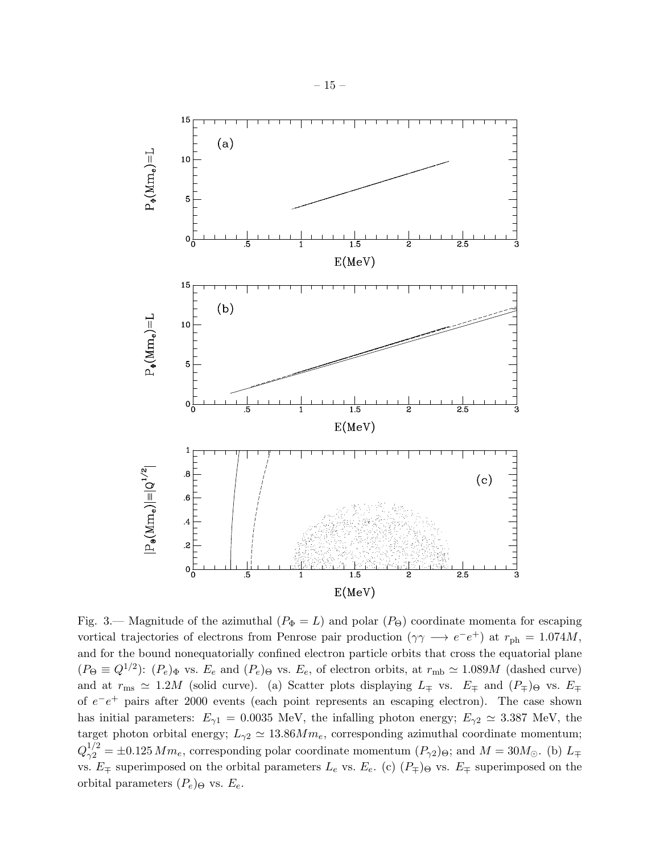

Fig. 3.— Magnitude of the azimuthal  $(P_{\Phi} = L)$  and polar  $(P_{\Theta})$  coordinate momenta for escaping vortical trajectories of electrons from Penrose pair production ( $\gamma \gamma \rightarrow e^-e^+$ ) at  $r_{\rm ph} = 1.074M$ , and for the bound nonequatorially confined electron particle orbits that cross the equatorial plane  $(P_{\Theta} \equiv Q^{1/2})$ :  $(P_e)_{\Phi}$  vs.  $E_e$  and  $(P_e)_{\Theta}$  vs.  $E_e$ , of electron orbits, at  $r_{\rm mb} \simeq 1.089M$  (dashed curve) and at  $r_{\text{ms}} \simeq 1.2M$  (solid curve). (a) Scatter plots displaying  $L_{\mp}$  vs.  $E_{\mp}$  and  $(P_{\mp})_{\Theta}$  vs.  $E_{\mp}$ of  $e^-e^+$  pairs after 2000 events (each point represents an escaping electron). The case shown has initial parameters:  $E_{\gamma 1} = 0.0035$  MeV, the infalling photon energy;  $E_{\gamma 2} \simeq 3.387$  MeV, the target photon orbital energy;  $L_{\gamma 2} \simeq 13.86 M m_e$ , corresponding azimuthal coordinate momentum;  $Q_{\gamma 2}^{1/2} = \pm 0.125 \, Mm_e$ , corresponding polar coordinate momentum  $(P_{\gamma 2})_{\Theta}$ ; and  $M = 30M_{\odot}$ . (b)  $L_{\mp}$ vs.  $E_{\pm}$  superimposed on the orbital parameters  $L_e$  vs.  $E_e$ . (c)  $(P_{\mp})\Theta$  vs.  $E_{\mp}$  superimposed on the orbital parameters  $(P_e)_{\Theta}$  vs.  $E_e$ .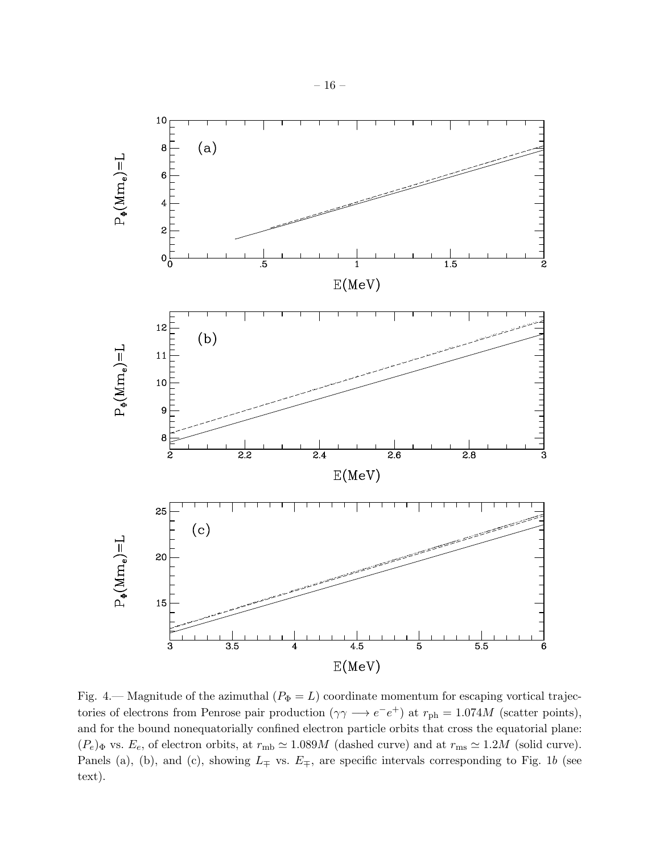

Fig. 4.— Magnitude of the azimuthal  $(P_{\Phi} = L)$  coordinate momentum for escaping vortical trajectories of electrons from Penrose pair production  $(\gamma \gamma \rightarrow e^-e^+)$  at  $r_{\text{ph}} = 1.074M$  (scatter points), and for the bound nonequatorially confined electron particle orbits that cross the equatorial plane:  $(P_e)$ <sub>Φ</sub> vs.  $E_e$ , of electron orbits, at  $r_{\rm mb} \simeq 1.089M$  (dashed curve) and at  $r_{\rm ms} \simeq 1.2M$  (solid curve). Panels (a), (b), and (c), showing  $L_{\mp}$  vs.  $E_{\mp}$ , are specific intervals corresponding to Fig. 1b (see text).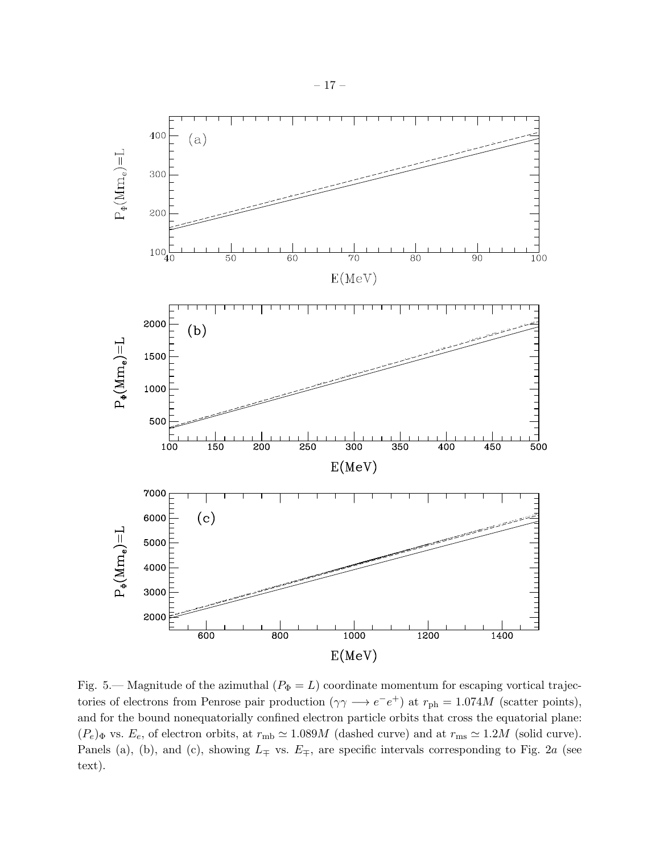

Fig. 5.— Magnitude of the azimuthal  $(P_{\Phi} = L)$  coordinate momentum for escaping vortical trajectories of electrons from Penrose pair production  $(\gamma \gamma \rightarrow e^-e^+)$  at  $r_{\text{ph}} = 1.074M$  (scatter points), and for the bound nonequatorially confined electron particle orbits that cross the equatorial plane:  $(P_e)$  vs.  $E_e$ , of electron orbits, at  $r_{\rm mb} \simeq 1.089M$  (dashed curve) and at  $r_{\rm ms} \simeq 1.2M$  (solid curve). Panels (a), (b), and (c), showing  $L_{\mp}$  vs.  $E_{\mp}$ , are specific intervals corresponding to Fig. 2a (see text).